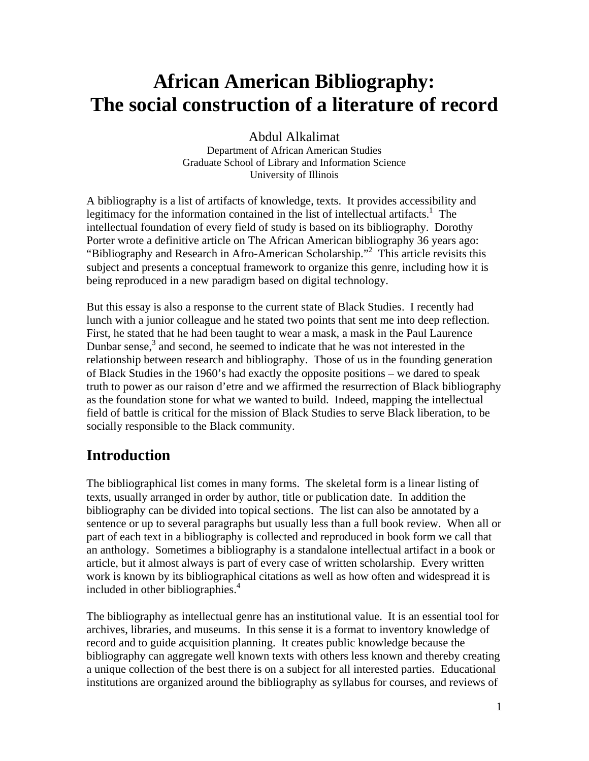# **African American Bibliography: The social construction of a literature of record**

Abdul Alkalimat Department of African American Studies Graduate School of Library and Information Science University of Illinois

A bibliography is a list of artifacts of knowledge, texts. It provides accessibility and legitimacy for the information contained in the list of intellectual artifacts.<sup>1</sup> The intellectual foundation of every field of study is based on its bibliography. Dorothy Porter wrote a definitive article on The African American bibliography 36 years ago: "Bibliography and Research in Afro-American Scholarship."<sup>2</sup> This article revisits this subject and presents a conceptual framework to organize this genre, including how it is being reproduced in a new paradigm based on digital technology.

But this essay is also a response to the current state of Black Studies. I recently had lunch with a junior colleague and he stated two points that sent me into deep reflection. First, he stated that he had been taught to wear a mask, a mask in the Paul Laurence Dunbar sense, $3$  and second, he seemed to indicate that he was not interested in the relationship between research and bibliography. Those of us in the founding generation of Black Studies in the 1960's had exactly the opposite positions – we dared to speak truth to power as our raison d'etre and we affirmed the resurrection of Black bibliography as the foundation stone for what we wanted to build. Indeed, mapping the intellectual field of battle is critical for the mission of Black Studies to serve Black liberation, to be socially responsible to the Black community.

## **Introduction**

The bibliographical list comes in many forms. The skeletal form is a linear listing of texts, usually arranged in order by author, title or publication date. In addition the bibliography can be divided into topical sections. The list can also be annotated by a sentence or up to several paragraphs but usually less than a full book review. When all or part of each text in a bibliography is collected and reproduced in book form we call that an anthology. Sometimes a bibliography is a standalone intellectual artifact in a book or article, but it almost always is part of every case of written scholarship. Every written work is known by its bibliographical citations as well as how often and widespread it is included in other bibliographies.<sup>4</sup>

The bibliography as intellectual genre has an institutional value. It is an essential tool for archives, libraries, and museums. In this sense it is a format to inventory knowledge of record and to guide acquisition planning. It creates public knowledge because the bibliography can aggregate well known texts with others less known and thereby creating a unique collection of the best there is on a subject for all interested parties. Educational institutions are organized around the bibliography as syllabus for courses, and reviews of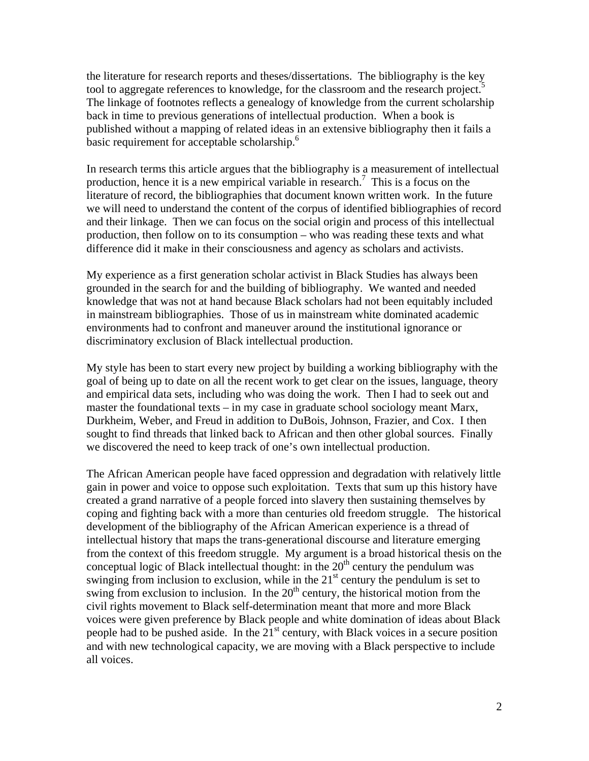the literature for research reports and theses/dissertations. The bibliography is the key tool to aggregate references to knowledge, for the classroom and the research project.<sup>5</sup> The linkage of footnotes reflects a genealogy of knowledge from the current scholarship back in time to previous generations of intellectual production. When a book is published without a mapping of related ideas in an extensive bibliography then it fails a basic requirement for acceptable scholarship.<sup>6</sup>

In research terms this article argues that the bibliography is a measurement of intellectual production, hence it is a new empirical variable in research.<sup>7</sup> This is a focus on the literature of record, the bibliographies that document known written work. In the future we will need to understand the content of the corpus of identified bibliographies of record and their linkage. Then we can focus on the social origin and process of this intellectual production, then follow on to its consumption – who was reading these texts and what difference did it make in their consciousness and agency as scholars and activists.

My experience as a first generation scholar activist in Black Studies has always been grounded in the search for and the building of bibliography. We wanted and needed knowledge that was not at hand because Black scholars had not been equitably included in mainstream bibliographies. Those of us in mainstream white dominated academic environments had to confront and maneuver around the institutional ignorance or discriminatory exclusion of Black intellectual production.

My style has been to start every new project by building a working bibliography with the goal of being up to date on all the recent work to get clear on the issues, language, theory and empirical data sets, including who was doing the work. Then I had to seek out and master the foundational texts – in my case in graduate school sociology meant Marx, Durkheim, Weber, and Freud in addition to DuBois, Johnson, Frazier, and Cox. I then sought to find threads that linked back to African and then other global sources. Finally we discovered the need to keep track of one's own intellectual production.

The African American people have faced oppression and degradation with relatively little gain in power and voice to oppose such exploitation. Texts that sum up this history have created a grand narrative of a people forced into slavery then sustaining themselves by coping and fighting back with a more than centuries old freedom struggle. The historical development of the bibliography of the African American experience is a thread of intellectual history that maps the trans-generational discourse and literature emerging from the context of this freedom struggle. My argument is a broad historical thesis on the conceptual logic of Black intellectual thought: in the  $20<sup>th</sup>$  century the pendulum was swinging from inclusion to exclusion, while in the  $21<sup>st</sup>$  century the pendulum is set to swing from exclusion to inclusion. In the  $20<sup>th</sup>$  century, the historical motion from the civil rights movement to Black self-determination meant that more and more Black voices were given preference by Black people and white domination of ideas about Black people had to be pushed aside. In the  $21<sup>st</sup>$  century, with Black voices in a secure position and with new technological capacity, we are moving with a Black perspective to include all voices.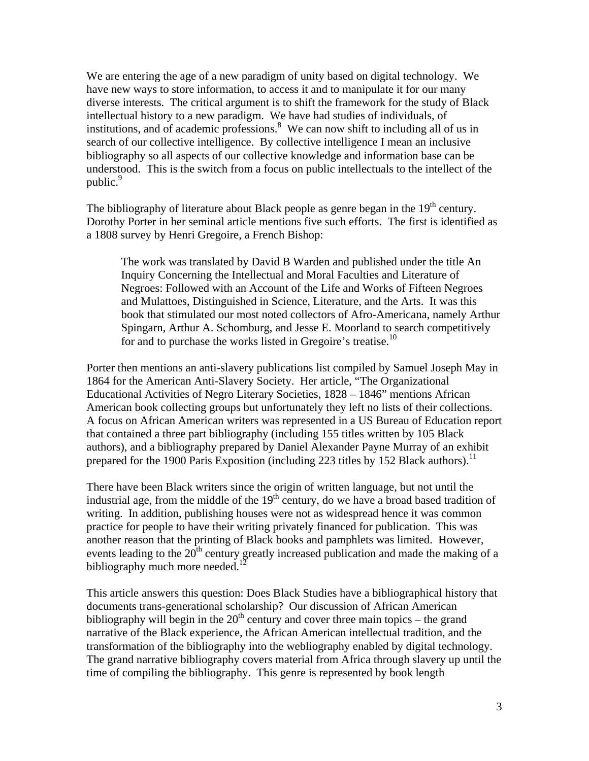We are entering the age of a new paradigm of unity based on digital technology. We have new ways to store information, to access it and to manipulate it for our many diverse interests. The critical argument is to shift the framework for the study of Black intellectual history to a new paradigm. We have had studies of individuals, of institutions, and of academic professions.<sup>8</sup> We can now shift to including all of us in search of our collective intelligence. By collective intelligence I mean an inclusive bibliography so all aspects of our collective knowledge and information base can be understood. This is the switch from a focus on public intellectuals to the intellect of the public.<sup>9</sup>

The bibliography of literature about Black people as genre began in the  $19<sup>th</sup>$  century. Dorothy Porter in her seminal article mentions five such efforts. The first is identified as a 1808 survey by Henri Gregoire, a French Bishop:

The work was translated by David B Warden and published under the title An Inquiry Concerning the Intellectual and Moral Faculties and Literature of Negroes: Followed with an Account of the Life and Works of Fifteen Negroes and Mulattoes, Distinguished in Science, Literature, and the Arts. It was this book that stimulated our most noted collectors of Afro-Americana, namely Arthur Spingarn, Arthur A. Schomburg, and Jesse E. Moorland to search competitively for and to purchase the works listed in Gregoire's treatise.<sup>10</sup>

Porter then mentions an anti-slavery publications list compiled by Samuel Joseph May in 1864 for the American Anti-Slavery Society. Her article, "The Organizational Educational Activities of Negro Literary Societies, 1828 – 1846" mentions African American book collecting groups but unfortunately they left no lists of their collections. A focus on African American writers was represented in a US Bureau of Education report that contained a three part bibliography (including 155 titles written by 105 Black authors), and a bibliography prepared by Daniel Alexander Payne Murray of an exhibit prepared for the 1900 Paris Exposition (including 223 titles by 152 Black authors).<sup>11</sup>

There have been Black writers since the origin of written language, but not until the industrial age, from the middle of the  $19<sup>th</sup>$  century, do we have a broad based tradition of writing. In addition, publishing houses were not as widespread hence it was common practice for people to have their writing privately financed for publication. This was another reason that the printing of Black books and pamphlets was limited. However, events leading to the  $20<sup>th</sup>$  century greatly increased publication and made the making of a bibliography much more needed.<sup>12</sup>

This article answers this question: Does Black Studies have a bibliographical history that documents trans-generational scholarship? Our discussion of African American bibliography will begin in the  $20<sup>th</sup>$  century and cover three main topics – the grand narrative of the Black experience, the African American intellectual tradition, and the transformation of the bibliography into the webliography enabled by digital technology. The grand narrative bibliography covers material from Africa through slavery up until the time of compiling the bibliography. This genre is represented by book length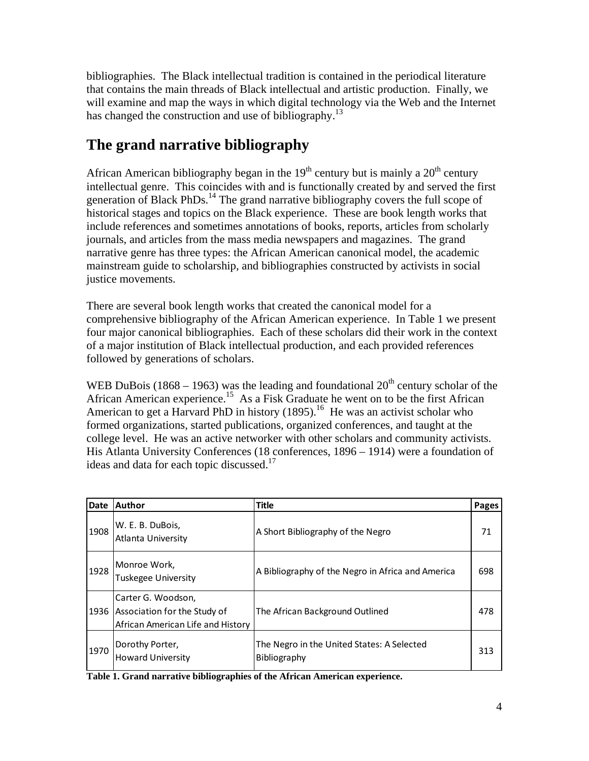bibliographies. The Black intellectual tradition is contained in the periodical literature that contains the main threads of Black intellectual and artistic production. Finally, we will examine and map the ways in which digital technology via the Web and the Internet has changed the construction and use of bibliography.<sup>13</sup>

## **The grand narrative bibliography**

African American bibliography began in the  $19<sup>th</sup>$  century but is mainly a  $20<sup>th</sup>$  century intellectual genre. This coincides with and is functionally created by and served the first generation of Black PhDs.<sup>14</sup> The grand narrative bibliography covers the full scope of historical stages and topics on the Black experience. These are book length works that include references and sometimes annotations of books, reports, articles from scholarly journals, and articles from the mass media newspapers and magazines. The grand narrative genre has three types: the African American canonical model, the academic mainstream guide to scholarship, and bibliographies constructed by activists in social justice movements.

There are several book length works that created the canonical model for a comprehensive bibliography of the African American experience. In Table 1 we present four major canonical bibliographies. Each of these scholars did their work in the context of a major institution of Black intellectual production, and each provided references followed by generations of scholars.

WEB DuBois (1868 – 1963) was the leading and foundational  $20<sup>th</sup>$  century scholar of the African American experience.<sup>15</sup> As a Fisk Graduate he went on to be the first African American to get a Harvard PhD in history  $(1895)$ .<sup>16</sup> He was an activist scholar who formed organizations, started publications, organized conferences, and taught at the college level. He was an active networker with other scholars and community activists. His Atlanta University Conferences (18 conferences, 1896 – 1914) were a foundation of ideas and data for each topic discussed. $17$ 

| Date | Author                                                                                       | <b>Title</b>                                               | Pages |
|------|----------------------------------------------------------------------------------------------|------------------------------------------------------------|-------|
| 1908 | W. E. B. DuBois,<br>Atlanta University                                                       | A Short Bibliography of the Negro                          | 71    |
| 1928 | Monroe Work,<br><b>Tuskegee University</b>                                                   | A Bibliography of the Negro in Africa and America          | 698   |
|      | Carter G. Woodson,<br>1936 Association for the Study of<br>African American Life and History | The African Background Outlined                            | 478   |
| 1970 | Dorothy Porter,<br><b>Howard University</b>                                                  | The Negro in the United States: A Selected<br>Bibliography | 313   |

**Table 1. Grand narrative bibliographies of the African American experience.**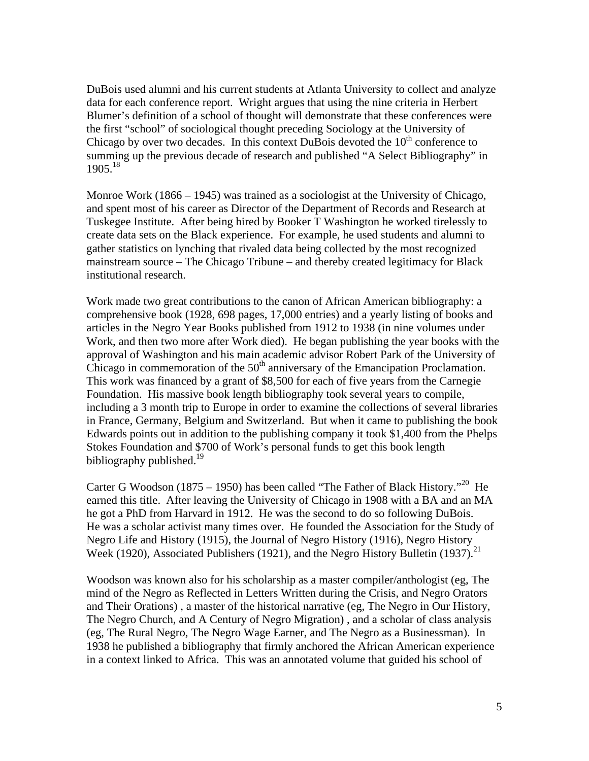DuBois used alumni and his current students at Atlanta University to collect and analyze data for each conference report. Wright argues that using the nine criteria in Herbert Blumer's definition of a school of thought will demonstrate that these conferences were the first "school" of sociological thought preceding Sociology at the University of Chicago by over two decades. In this context DuBois devoted the  $10<sup>th</sup>$  conference to summing up the previous decade of research and published "A Select Bibliography" in  $1905.<sup>18</sup>$ 

Monroe Work (1866 – 1945) was trained as a sociologist at the University of Chicago, and spent most of his career as Director of the Department of Records and Research at Tuskegee Institute. After being hired by Booker T Washington he worked tirelessly to create data sets on the Black experience. For example, he used students and alumni to gather statistics on lynching that rivaled data being collected by the most recognized mainstream source – The Chicago Tribune – and thereby created legitimacy for Black institutional research.

Work made two great contributions to the canon of African American bibliography: a comprehensive book (1928, 698 pages, 17,000 entries) and a yearly listing of books and articles in the Negro Year Books published from 1912 to 1938 (in nine volumes under Work, and then two more after Work died). He began publishing the year books with the approval of Washington and his main academic advisor Robert Park of the University of Chicago in commemoration of the  $50<sup>th</sup>$  anniversary of the Emancipation Proclamation. This work was financed by a grant of \$8,500 for each of five years from the Carnegie Foundation. His massive book length bibliography took several years to compile, including a 3 month trip to Europe in order to examine the collections of several libraries in France, Germany, Belgium and Switzerland. But when it came to publishing the book Edwards points out in addition to the publishing company it took \$1,400 from the Phelps Stokes Foundation and \$700 of Work's personal funds to get this book length bibliography published.<sup>19</sup>

Carter G Woodson (1875 – 1950) has been called "The Father of Black History."<sup>20</sup> He earned this title. After leaving the University of Chicago in 1908 with a BA and an MA he got a PhD from Harvard in 1912. He was the second to do so following DuBois. He was a scholar activist many times over. He founded the Association for the Study of Negro Life and History (1915), the Journal of Negro History (1916), Negro History Week (1920), Associated Publishers (1921), and the Negro History Bulletin (1937).<sup>21</sup>

Woodson was known also for his scholarship as a master compiler/anthologist (eg, The mind of the Negro as Reflected in Letters Written during the Crisis, and Negro Orators and Their Orations) , a master of the historical narrative (eg, The Negro in Our History, The Negro Church, and A Century of Negro Migration) , and a scholar of class analysis (eg, The Rural Negro, The Negro Wage Earner, and The Negro as a Businessman). In 1938 he published a bibliography that firmly anchored the African American experience in a context linked to Africa. This was an annotated volume that guided his school of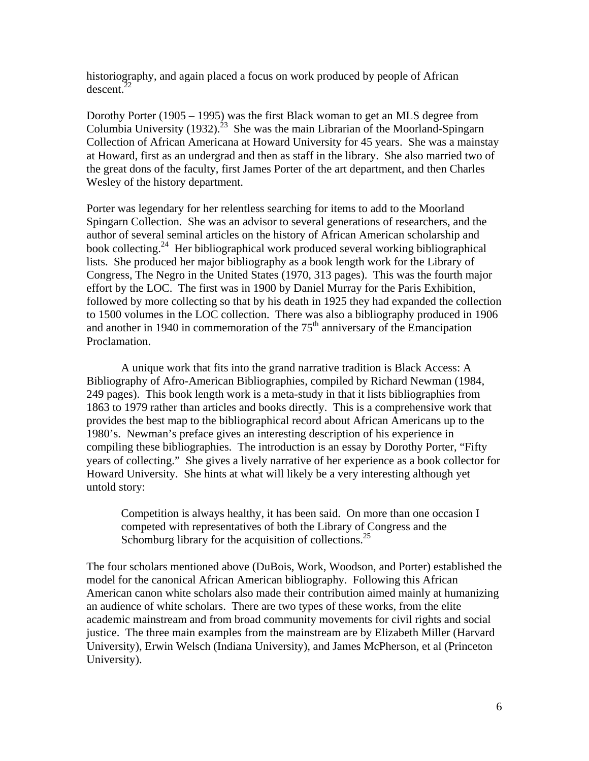historiography, and again placed a focus on work produced by people of African  $descent.<sup>22</sup>$ 

Dorothy Porter (1905 – 1995) was the first Black woman to get an MLS degree from Columbia University (1932).<sup>23</sup> She was the main Librarian of the Moorland-Spingarn Collection of African Americana at Howard University for 45 years. She was a mainstay at Howard, first as an undergrad and then as staff in the library. She also married two of the great dons of the faculty, first James Porter of the art department, and then Charles Wesley of the history department.

Porter was legendary for her relentless searching for items to add to the Moorland Spingarn Collection. She was an advisor to several generations of researchers, and the author of several seminal articles on the history of African American scholarship and book collecting.<sup>24</sup> Her bibliographical work produced several working bibliographical lists. She produced her major bibliography as a book length work for the Library of Congress, The Negro in the United States (1970, 313 pages). This was the fourth major effort by the LOC. The first was in 1900 by Daniel Murray for the Paris Exhibition, followed by more collecting so that by his death in 1925 they had expanded the collection to 1500 volumes in the LOC collection. There was also a bibliography produced in 1906 and another in 1940 in commemoration of the  $75<sup>th</sup>$  anniversary of the Emancipation Proclamation.

 A unique work that fits into the grand narrative tradition is Black Access: A Bibliography of Afro-American Bibliographies, compiled by Richard Newman (1984, 249 pages). This book length work is a meta-study in that it lists bibliographies from 1863 to 1979 rather than articles and books directly. This is a comprehensive work that provides the best map to the bibliographical record about African Americans up to the 1980's. Newman's preface gives an interesting description of his experience in compiling these bibliographies. The introduction is an essay by Dorothy Porter, "Fifty years of collecting." She gives a lively narrative of her experience as a book collector for Howard University. She hints at what will likely be a very interesting although yet untold story:

Competition is always healthy, it has been said. On more than one occasion I competed with representatives of both the Library of Congress and the Schomburg library for the acquisition of collections.<sup>25</sup>

The four scholars mentioned above (DuBois, Work, Woodson, and Porter) established the model for the canonical African American bibliography. Following this African American canon white scholars also made their contribution aimed mainly at humanizing an audience of white scholars. There are two types of these works, from the elite academic mainstream and from broad community movements for civil rights and social justice. The three main examples from the mainstream are by Elizabeth Miller (Harvard University), Erwin Welsch (Indiana University), and James McPherson, et al (Princeton University).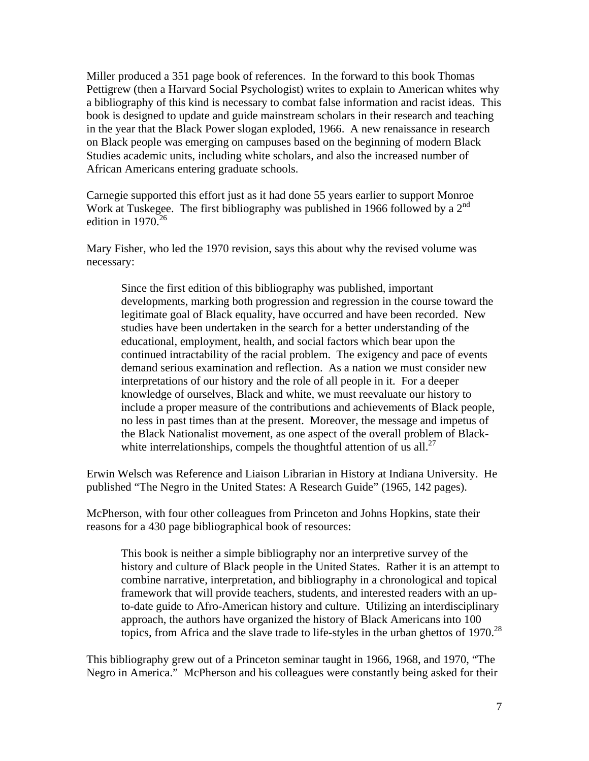Miller produced a 351 page book of references. In the forward to this book Thomas Pettigrew (then a Harvard Social Psychologist) writes to explain to American whites why a bibliography of this kind is necessary to combat false information and racist ideas. This book is designed to update and guide mainstream scholars in their research and teaching in the year that the Black Power slogan exploded, 1966. A new renaissance in research on Black people was emerging on campuses based on the beginning of modern Black Studies academic units, including white scholars, and also the increased number of African Americans entering graduate schools.

Carnegie supported this effort just as it had done 55 years earlier to support Monroe Work at Tuskegee. The first bibliography was published in 1966 followed by a  $2^{nd}$ edition in  $1970^{26}$ 

Mary Fisher, who led the 1970 revision, says this about why the revised volume was necessary:

Since the first edition of this bibliography was published, important developments, marking both progression and regression in the course toward the legitimate goal of Black equality, have occurred and have been recorded. New studies have been undertaken in the search for a better understanding of the educational, employment, health, and social factors which bear upon the continued intractability of the racial problem. The exigency and pace of events demand serious examination and reflection. As a nation we must consider new interpretations of our history and the role of all people in it. For a deeper knowledge of ourselves, Black and white, we must reevaluate our history to include a proper measure of the contributions and achievements of Black people, no less in past times than at the present. Moreover, the message and impetus of the Black Nationalist movement, as one aspect of the overall problem of Blackwhite interrelationships, compels the thoughtful attention of us all.<sup>27</sup>

Erwin Welsch was Reference and Liaison Librarian in History at Indiana University. He published "The Negro in the United States: A Research Guide" (1965, 142 pages).

McPherson, with four other colleagues from Princeton and Johns Hopkins, state their reasons for a 430 page bibliographical book of resources:

This book is neither a simple bibliography nor an interpretive survey of the history and culture of Black people in the United States. Rather it is an attempt to combine narrative, interpretation, and bibliography in a chronological and topical framework that will provide teachers, students, and interested readers with an upto-date guide to Afro-American history and culture. Utilizing an interdisciplinary approach, the authors have organized the history of Black Americans into 100 topics, from Africa and the slave trade to life-styles in the urban ghettos of  $1970$ <sup>28</sup>

This bibliography grew out of a Princeton seminar taught in 1966, 1968, and 1970, "The Negro in America." McPherson and his colleagues were constantly being asked for their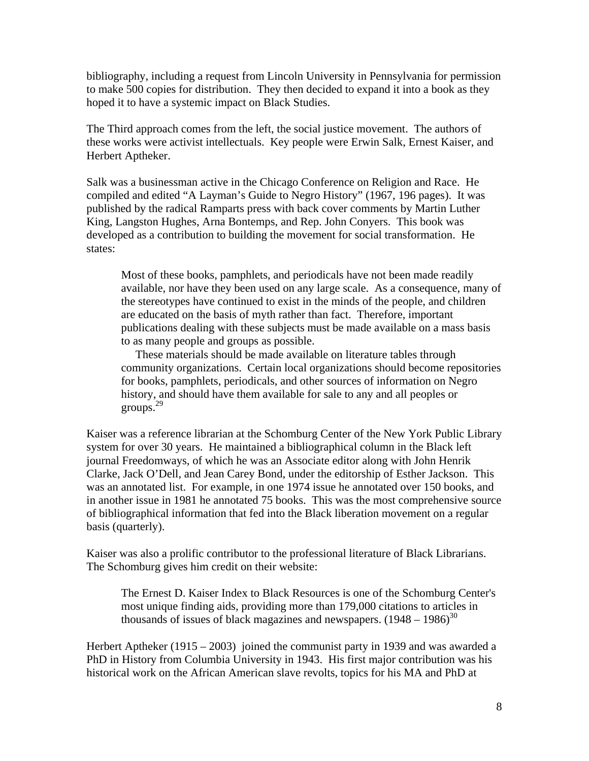bibliography, including a request from Lincoln University in Pennsylvania for permission to make 500 copies for distribution. They then decided to expand it into a book as they hoped it to have a systemic impact on Black Studies.

The Third approach comes from the left, the social justice movement. The authors of these works were activist intellectuals. Key people were Erwin Salk, Ernest Kaiser, and Herbert Aptheker.

Salk was a businessman active in the Chicago Conference on Religion and Race. He compiled and edited "A Layman's Guide to Negro History" (1967, 196 pages). It was published by the radical Ramparts press with back cover comments by Martin Luther King, Langston Hughes, Arna Bontemps, and Rep. John Conyers. This book was developed as a contribution to building the movement for social transformation. He states:

Most of these books, pamphlets, and periodicals have not been made readily available, nor have they been used on any large scale. As a consequence, many of the stereotypes have continued to exist in the minds of the people, and children are educated on the basis of myth rather than fact. Therefore, important publications dealing with these subjects must be made available on a mass basis to as many people and groups as possible.

 These materials should be made available on literature tables through community organizations. Certain local organizations should become repositories for books, pamphlets, periodicals, and other sources of information on Negro history, and should have them available for sale to any and all peoples or groups.29

Kaiser was a reference librarian at the Schomburg Center of the New York Public Library system for over 30 years. He maintained a bibliographical column in the Black left journal Freedomways, of which he was an Associate editor along with John Henrik Clarke, Jack O'Dell, and Jean Carey Bond, under the editorship of Esther Jackson. This was an annotated list. For example, in one 1974 issue he annotated over 150 books, and in another issue in 1981 he annotated 75 books. This was the most comprehensive source of bibliographical information that fed into the Black liberation movement on a regular basis (quarterly).

Kaiser was also a prolific contributor to the professional literature of Black Librarians. The Schomburg gives him credit on their website:

The Ernest D. Kaiser Index to Black Resources is one of the Schomburg Center's most unique finding aids, providing more than 179,000 citations to articles in thousands of issues of black magazines and newspapers.  $(1948 - 1986)^{30}$ 

Herbert Aptheker (1915 – 2003) joined the communist party in 1939 and was awarded a PhD in History from Columbia University in 1943. His first major contribution was his historical work on the African American slave revolts, topics for his MA and PhD at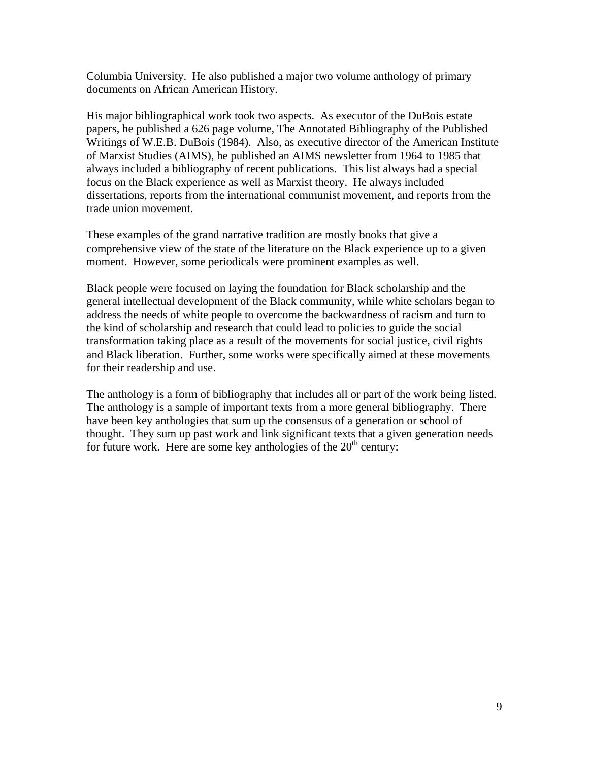Columbia University. He also published a major two volume anthology of primary documents on African American History.

His major bibliographical work took two aspects. As executor of the DuBois estate papers, he published a 626 page volume, The Annotated Bibliography of the Published Writings of W.E.B. DuBois (1984). Also, as executive director of the American Institute of Marxist Studies (AIMS), he published an AIMS newsletter from 1964 to 1985 that always included a bibliography of recent publications. This list always had a special focus on the Black experience as well as Marxist theory. He always included dissertations, reports from the international communist movement, and reports from the trade union movement.

These examples of the grand narrative tradition are mostly books that give a comprehensive view of the state of the literature on the Black experience up to a given moment. However, some periodicals were prominent examples as well.

Black people were focused on laying the foundation for Black scholarship and the general intellectual development of the Black community, while white scholars began to address the needs of white people to overcome the backwardness of racism and turn to the kind of scholarship and research that could lead to policies to guide the social transformation taking place as a result of the movements for social justice, civil rights and Black liberation. Further, some works were specifically aimed at these movements for their readership and use.

The anthology is a form of bibliography that includes all or part of the work being listed. The anthology is a sample of important texts from a more general bibliography. There have been key anthologies that sum up the consensus of a generation or school of thought. They sum up past work and link significant texts that a given generation needs for future work. Here are some key anthologies of the  $20<sup>th</sup>$  century: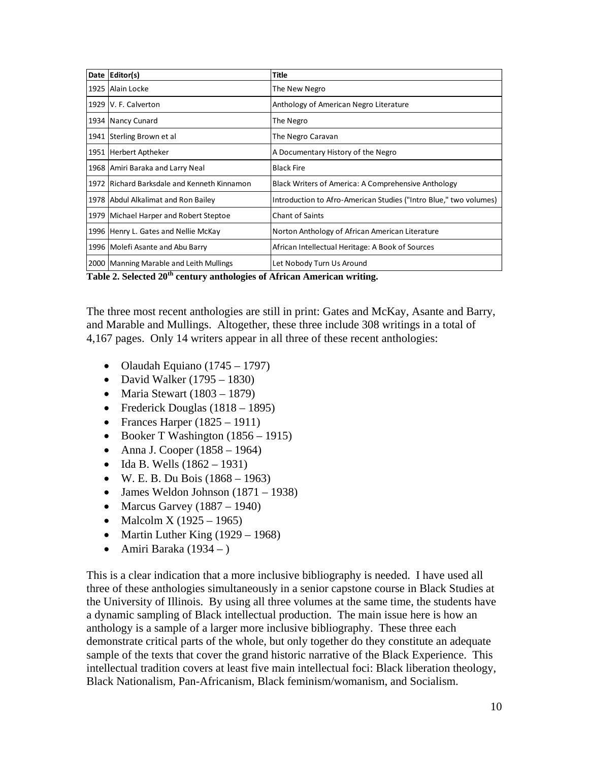| Date Editor(s)                              | <b>Title</b>                                                      |
|---------------------------------------------|-------------------------------------------------------------------|
| 1925 Alain Locke                            | The New Negro                                                     |
| 1929 V. F. Calverton                        | Anthology of American Negro Literature                            |
| 1934 Nancy Cunard                           | The Negro                                                         |
| 1941 Sterling Brown et al                   | The Negro Caravan                                                 |
| 1951 Herbert Aptheker                       | A Documentary History of the Negro                                |
| 1968   Amiri Baraka and Larry Neal          | <b>Black Fire</b>                                                 |
| 1972 Richard Barksdale and Kenneth Kinnamon | Black Writers of America: A Comprehensive Anthology               |
| 1978 Abdul Alkalimat and Ron Bailey         | Introduction to Afro-American Studies ("Intro Blue," two volumes) |
| 1979 Michael Harper and Robert Steptoe      | <b>Chant of Saints</b>                                            |
| 1996 Henry L. Gates and Nellie McKay        | Norton Anthology of African American Literature                   |
| 1996 Molefi Asante and Abu Barry            | African Intellectual Heritage: A Book of Sources                  |
| 2000   Manning Marable and Leith Mullings   | Let Nobody Turn Us Around                                         |

**Table 2. Selected 20th century anthologies of African American writing.** 

The three most recent anthologies are still in print: Gates and McKay, Asante and Barry, and Marable and Mullings. Altogether, these three include 308 writings in a total of 4,167 pages. Only 14 writers appear in all three of these recent anthologies:

- Olaudah Equiano (1745 1797)
- David Walker  $(1795 1830)$
- Maria Stewart  $(1803 1879)$
- Frederick Douglas  $(1818 1895)$
- Frances Harper  $(1825 1911)$
- Booker T Washington  $(1856 1915)$
- Anna J. Cooper  $(1858 1964)$
- Ida B. Wells  $(1862 1931)$
- $\bullet$  W. E. B. Du Bois (1868 1963)
- $\bullet$  James Weldon Johnson (1871 1938)
- Marcus Garvey  $(1887 1940)$
- Malcolm X (1925 1965)
- Martin Luther King  $(1929 1968)$
- Amiri Baraka (1934 )

This is a clear indication that a more inclusive bibliography is needed. I have used all three of these anthologies simultaneously in a senior capstone course in Black Studies at the University of Illinois. By using all three volumes at the same time, the students have a dynamic sampling of Black intellectual production. The main issue here is how an anthology is a sample of a larger more inclusive bibliography. These three each demonstrate critical parts of the whole, but only together do they constitute an adequate sample of the texts that cover the grand historic narrative of the Black Experience. This intellectual tradition covers at least five main intellectual foci: Black liberation theology, Black Nationalism, Pan-Africanism, Black feminism/womanism, and Socialism.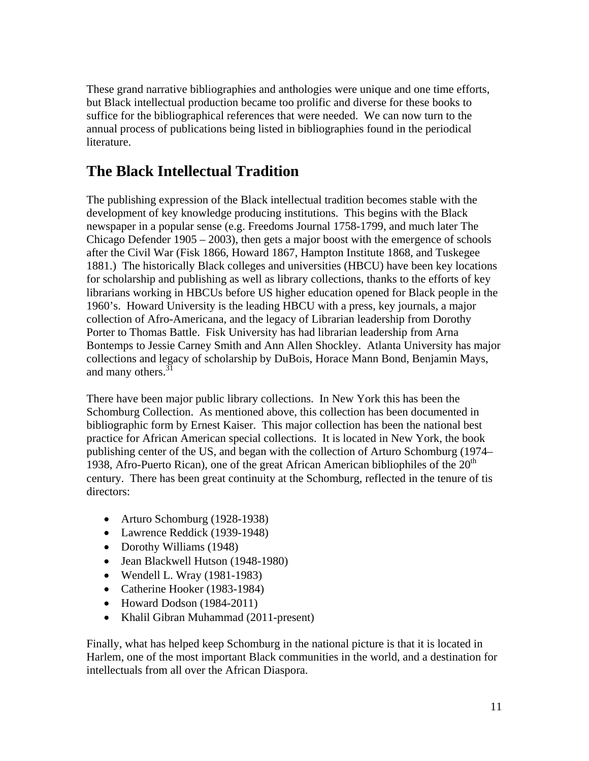These grand narrative bibliographies and anthologies were unique and one time efforts, but Black intellectual production became too prolific and diverse for these books to suffice for the bibliographical references that were needed. We can now turn to the annual process of publications being listed in bibliographies found in the periodical literature.

#### **The Black Intellectual Tradition**

The publishing expression of the Black intellectual tradition becomes stable with the development of key knowledge producing institutions. This begins with the Black newspaper in a popular sense (e.g. Freedoms Journal 1758-1799, and much later The Chicago Defender 1905 – 2003), then gets a major boost with the emergence of schools after the Civil War (Fisk 1866, Howard 1867, Hampton Institute 1868, and Tuskegee 1881.) The historically Black colleges and universities (HBCU) have been key locations for scholarship and publishing as well as library collections, thanks to the efforts of key librarians working in HBCUs before US higher education opened for Black people in the 1960's. Howard University is the leading HBCU with a press, key journals, a major collection of Afro-Americana, and the legacy of Librarian leadership from Dorothy Porter to Thomas Battle. Fisk University has had librarian leadership from Arna Bontemps to Jessie Carney Smith and Ann Allen Shockley. Atlanta University has major collections and legacy of scholarship by DuBois, Horace Mann Bond, Benjamin Mays, and many others.<sup>31</sup>

There have been major public library collections. In New York this has been the Schomburg Collection. As mentioned above, this collection has been documented in bibliographic form by Ernest Kaiser. This major collection has been the national best practice for African American special collections. It is located in New York, the book publishing center of the US, and began with the collection of Arturo Schomburg (1974– 1938, Afro-Puerto Rican), one of the great African American bibliophiles of the  $20<sup>th</sup>$ century. There has been great continuity at the Schomburg, reflected in the tenure of tis directors:

- Arturo Schomburg (1928-1938)
- Lawrence Reddick (1939-1948)
- Dorothy Williams (1948)
- Jean Blackwell Hutson (1948-1980)
- Wendell L. Wray (1981-1983)
- Catherine Hooker (1983-1984)
- Howard Dodson (1984-2011)
- Khalil Gibran Muhammad (2011-present)

Finally, what has helped keep Schomburg in the national picture is that it is located in Harlem, one of the most important Black communities in the world, and a destination for intellectuals from all over the African Diaspora.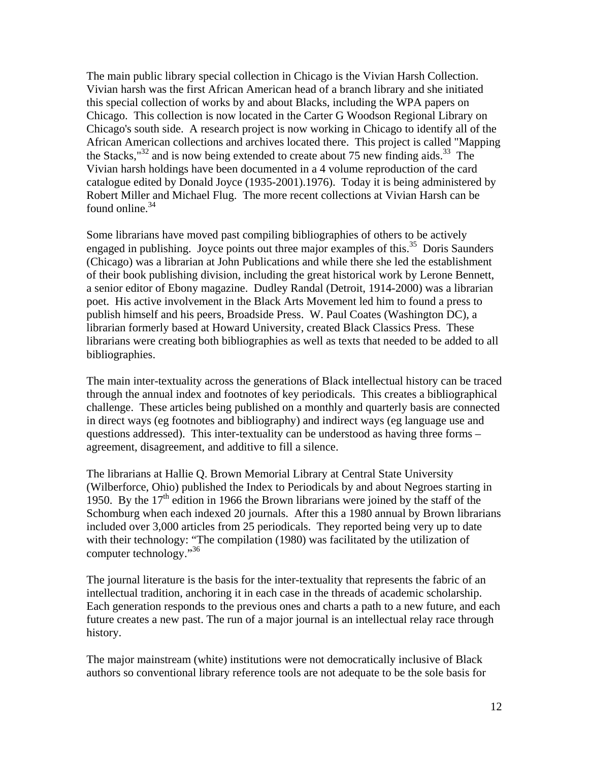The main public library special collection in Chicago is the Vivian Harsh Collection. Vivian harsh was the first African American head of a branch library and she initiated this special collection of works by and about Blacks, including the WPA papers on Chicago. This collection is now located in the Carter G Woodson Regional Library on Chicago's south side. A research project is now working in Chicago to identify all of the African American collections and archives located there. This project is called "Mapping the Stacks," $^{32}$  and is now being extended to create about 75 new finding aids. $^{33}$  The Vivian harsh holdings have been documented in a 4 volume reproduction of the card catalogue edited by Donald Joyce (1935-2001).1976). Today it is being administered by Robert Miller and Michael Flug. The more recent collections at Vivian Harsh can be found online.<sup>34</sup>

Some librarians have moved past compiling bibliographies of others to be actively engaged in publishing. Joyce points out three major examples of this.<sup>35</sup> Doris Saunders (Chicago) was a librarian at John Publications and while there she led the establishment of their book publishing division, including the great historical work by Lerone Bennett, a senior editor of Ebony magazine. Dudley Randal (Detroit, 1914-2000) was a librarian poet. His active involvement in the Black Arts Movement led him to found a press to publish himself and his peers, Broadside Press. W. Paul Coates (Washington DC), a librarian formerly based at Howard University, created Black Classics Press. These librarians were creating both bibliographies as well as texts that needed to be added to all bibliographies.

The main inter-textuality across the generations of Black intellectual history can be traced through the annual index and footnotes of key periodicals. This creates a bibliographical challenge. These articles being published on a monthly and quarterly basis are connected in direct ways (eg footnotes and bibliography) and indirect ways (eg language use and questions addressed). This inter-textuality can be understood as having three forms – agreement, disagreement, and additive to fill a silence.

The librarians at Hallie Q. Brown Memorial Library at Central State University (Wilberforce, Ohio) published the Index to Periodicals by and about Negroes starting in 1950. By the  $17<sup>th</sup>$  edition in 1966 the Brown librarians were joined by the staff of the Schomburg when each indexed 20 journals. After this a 1980 annual by Brown librarians included over 3,000 articles from 25 periodicals. They reported being very up to date with their technology: "The compilation (1980) was facilitated by the utilization of computer technology."36

The journal literature is the basis for the inter-textuality that represents the fabric of an intellectual tradition, anchoring it in each case in the threads of academic scholarship. Each generation responds to the previous ones and charts a path to a new future, and each future creates a new past. The run of a major journal is an intellectual relay race through history.

The major mainstream (white) institutions were not democratically inclusive of Black authors so conventional library reference tools are not adequate to be the sole basis for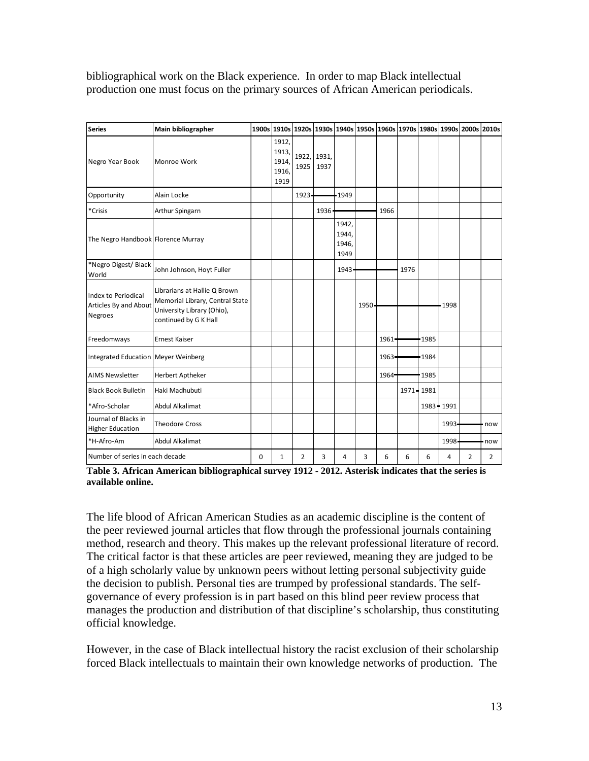bibliographical work on the Black experience. In order to map Black intellectual production one must focus on the primary sources of African American periodicals.

| <b>Series</b>                                                  | Main bibliographer                                                                                                     |   |                                          |          |                     |                                 |      |       | 1900s 1910s 1920s 1930s 1940s 1950s 1960s 1970s 1980s 1990s 2000s 2010s |             |                |   |                |
|----------------------------------------------------------------|------------------------------------------------------------------------------------------------------------------------|---|------------------------------------------|----------|---------------------|---------------------------------|------|-------|-------------------------------------------------------------------------|-------------|----------------|---|----------------|
| Negro Year Book                                                | Monroe Work                                                                                                            |   | 1912,<br>1913,<br>1914,<br>1916,<br>1919 | 1925     | 1922, 1931,<br>1937 |                                 |      |       |                                                                         |             |                |   |                |
| Opportunity                                                    | Alain Locke                                                                                                            |   |                                          | $1923 -$ |                     | 1949                            |      |       |                                                                         |             |                |   |                |
| *Crisis                                                        | Arthur Spingarn                                                                                                        |   |                                          |          | 1936                |                                 |      | 1966  |                                                                         |             |                |   |                |
| The Negro Handbook Florence Murray                             |                                                                                                                        |   |                                          |          |                     | 1942,<br>1944,<br>1946,<br>1949 |      |       |                                                                         |             |                |   |                |
| *Negro Digest/Black<br>World                                   | John Johnson, Hoyt Fuller                                                                                              |   |                                          |          |                     | 1943                            |      |       | 1976                                                                    |             |                |   |                |
| Index to Periodical<br>Articles By and About<br><b>Negroes</b> | Librarians at Hallie Q Brown<br>Memorial Library, Central State<br>University Library (Ohio),<br>continued by G K Hall |   |                                          |          |                     |                                 | 1950 |       |                                                                         |             | 1998           |   |                |
| Freedomways                                                    | Ernest Kaiser                                                                                                          |   |                                          |          |                     |                                 |      | 1961  |                                                                         | 1985        |                |   |                |
| Integrated Education   Meyer Weinberg                          |                                                                                                                        |   |                                          |          |                     |                                 |      | 1963- |                                                                         | 1984        |                |   |                |
| <b>AIMS Newsletter</b>                                         | Herbert Aptheker                                                                                                       |   |                                          |          |                     |                                 |      | 1964  |                                                                         | 1985        |                |   |                |
| <b>Black Book Bulletin</b>                                     | Haki Madhubuti                                                                                                         |   |                                          |          |                     |                                 |      |       | 1971 - 1981                                                             |             |                |   |                |
| *Afro-Scholar                                                  | <b>Abdul Alkalimat</b>                                                                                                 |   |                                          |          |                     |                                 |      |       |                                                                         | 1983 - 1991 |                |   |                |
| Journal of Blacks in<br><b>Higher Education</b>                | <b>Theodore Cross</b>                                                                                                  |   |                                          |          |                     |                                 |      |       |                                                                         |             | 1993-          |   | now            |
| *H-Afro-Am                                                     | <b>Abdul Alkalimat</b>                                                                                                 |   |                                          |          |                     |                                 |      |       |                                                                         |             | 1998           |   | now            |
| Number of series in each decade                                |                                                                                                                        | 0 | 1                                        | 2        | 3                   | 4                               | 3    | 6     | 6                                                                       | 6           | $\overline{4}$ | 2 | $\overline{2}$ |

**Table 3. African American bibliographical survey 1912 - 2012. Asterisk indicates that the series is available online.** 

The life blood of African American Studies as an academic discipline is the content of the peer reviewed journal articles that flow through the professional journals containing method, research and theory. This makes up the relevant professional literature of record. The critical factor is that these articles are peer reviewed, meaning they are judged to be of a high scholarly value by unknown peers without letting personal subjectivity guide the decision to publish. Personal ties are trumped by professional standards. The selfgovernance of every profession is in part based on this blind peer review process that manages the production and distribution of that discipline's scholarship, thus constituting official knowledge.

However, in the case of Black intellectual history the racist exclusion of their scholarship forced Black intellectuals to maintain their own knowledge networks of production. The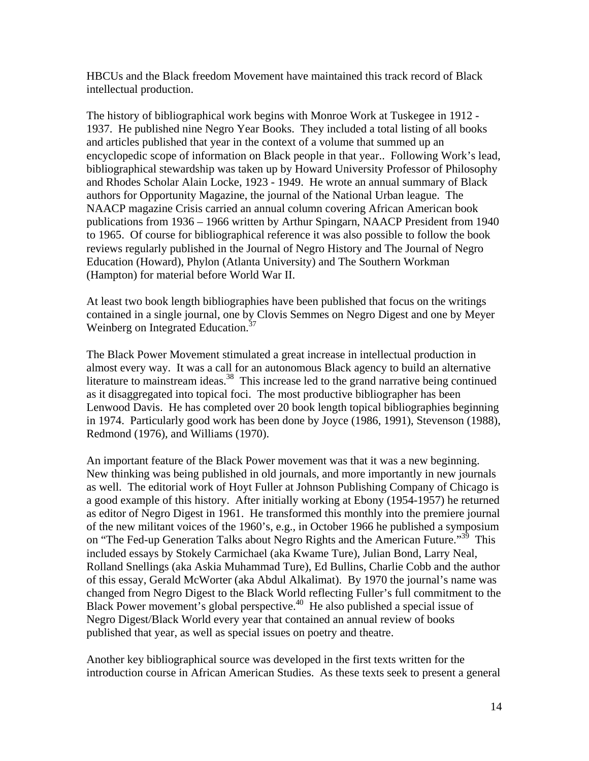HBCUs and the Black freedom Movement have maintained this track record of Black intellectual production.

The history of bibliographical work begins with Monroe Work at Tuskegee in 1912 - 1937. He published nine Negro Year Books. They included a total listing of all books and articles published that year in the context of a volume that summed up an encyclopedic scope of information on Black people in that year.. Following Work's lead, bibliographical stewardship was taken up by Howard University Professor of Philosophy and Rhodes Scholar Alain Locke, 1923 - 1949. He wrote an annual summary of Black authors for Opportunity Magazine, the journal of the National Urban league. The NAACP magazine Crisis carried an annual column covering African American book publications from 1936 – 1966 written by Arthur Spingarn, NAACP President from 1940 to 1965. Of course for bibliographical reference it was also possible to follow the book reviews regularly published in the Journal of Negro History and The Journal of Negro Education (Howard), Phylon (Atlanta University) and The Southern Workman (Hampton) for material before World War II.

At least two book length bibliographies have been published that focus on the writings contained in a single journal, one by Clovis Semmes on Negro Digest and one by Meyer Weinberg on Integrated Education.<sup>37</sup>

The Black Power Movement stimulated a great increase in intellectual production in almost every way. It was a call for an autonomous Black agency to build an alternative literature to mainstream ideas.<sup>38</sup> This increase led to the grand narrative being continued as it disaggregated into topical foci. The most productive bibliographer has been Lenwood Davis. He has completed over 20 book length topical bibliographies beginning in 1974. Particularly good work has been done by Joyce (1986, 1991), Stevenson (1988), Redmond (1976), and Williams (1970).

An important feature of the Black Power movement was that it was a new beginning. New thinking was being published in old journals, and more importantly in new journals as well. The editorial work of Hoyt Fuller at Johnson Publishing Company of Chicago is a good example of this history. After initially working at Ebony (1954-1957) he returned as editor of Negro Digest in 1961. He transformed this monthly into the premiere journal of the new militant voices of the 1960's, e.g., in October 1966 he published a symposium on "The Fed-up Generation Talks about Negro Rights and the American Future."<sup>39</sup> This included essays by Stokely Carmichael (aka Kwame Ture), Julian Bond, Larry Neal, Rolland Snellings (aka Askia Muhammad Ture), Ed Bullins, Charlie Cobb and the author of this essay, Gerald McWorter (aka Abdul Alkalimat). By 1970 the journal's name was changed from Negro Digest to the Black World reflecting Fuller's full commitment to the Black Power movement's global perspective.<sup>40</sup> He also published a special issue of Negro Digest/Black World every year that contained an annual review of books published that year, as well as special issues on poetry and theatre.

Another key bibliographical source was developed in the first texts written for the introduction course in African American Studies. As these texts seek to present a general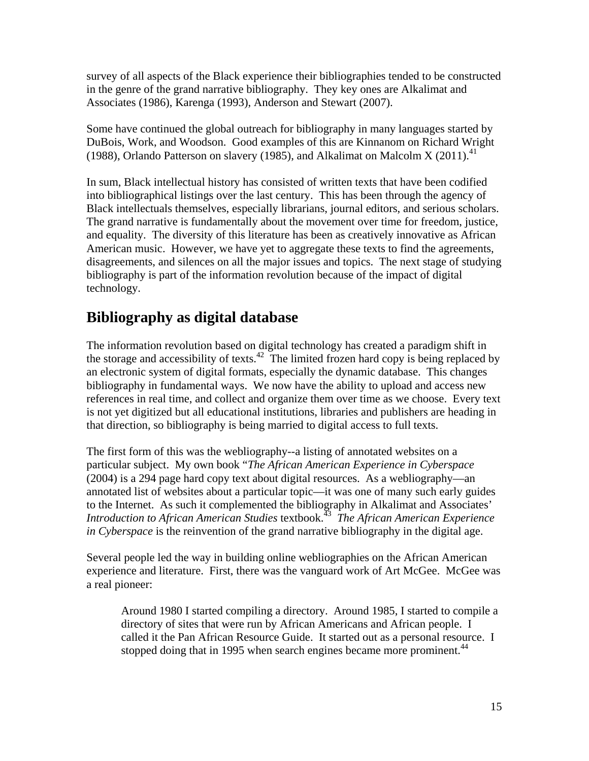survey of all aspects of the Black experience their bibliographies tended to be constructed in the genre of the grand narrative bibliography. They key ones are Alkalimat and Associates (1986), Karenga (1993), Anderson and Stewart (2007).

Some have continued the global outreach for bibliography in many languages started by DuBois, Work, and Woodson. Good examples of this are Kinnanom on Richard Wright (1988), Orlando Patterson on slavery (1985), and Alkalimat on Malcolm X (2011).<sup>41</sup>

In sum, Black intellectual history has consisted of written texts that have been codified into bibliographical listings over the last century. This has been through the agency of Black intellectuals themselves, especially librarians, journal editors, and serious scholars. The grand narrative is fundamentally about the movement over time for freedom, justice, and equality. The diversity of this literature has been as creatively innovative as African American music. However, we have yet to aggregate these texts to find the agreements, disagreements, and silences on all the major issues and topics. The next stage of studying bibliography is part of the information revolution because of the impact of digital technology.

### **Bibliography as digital database**

The information revolution based on digital technology has created a paradigm shift in the storage and accessibility of texts.<sup>42</sup> The limited frozen hard copy is being replaced by an electronic system of digital formats, especially the dynamic database. This changes bibliography in fundamental ways. We now have the ability to upload and access new references in real time, and collect and organize them over time as we choose. Every text is not yet digitized but all educational institutions, libraries and publishers are heading in that direction, so bibliography is being married to digital access to full texts.

The first form of this was the webliography--a listing of annotated websites on a particular subject. My own book "*The African American Experience in Cyberspace* (2004) is a 294 page hard copy text about digital resources. As a webliography—an annotated list of websites about a particular topic—it was one of many such early guides to the Internet. As such it complemented the bibliography in Alkalimat and Associates' *Introduction to African American Studies* textbook.43 *The African American Experience in Cyberspace* is the reinvention of the grand narrative bibliography in the digital age.

Several people led the way in building online webliographies on the African American experience and literature. First, there was the vanguard work of Art McGee. McGee was a real pioneer:

Around 1980 I started compiling a directory. Around 1985, I started to compile a directory of sites that were run by African Americans and African people. I called it the Pan African Resource Guide. It started out as a personal resource. I stopped doing that in 1995 when search engines became more prominent.<sup>44</sup>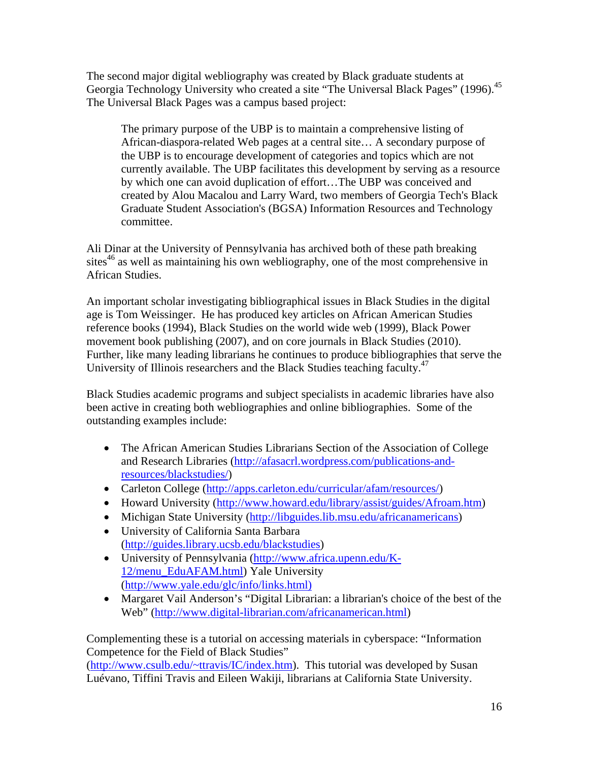The second major digital webliography was created by Black graduate students at Georgia Technology University who created a site "The Universal Black Pages" (1996).<sup>45</sup> The Universal Black Pages was a campus based project:

The primary purpose of the UBP is to maintain a comprehensive listing of African-diaspora-related Web pages at a central site… A secondary purpose of the UBP is to encourage development of categories and topics which are not currently available. The UBP facilitates this development by serving as a resource by which one can avoid duplication of effort…The UBP was conceived and created by Alou Macalou and Larry Ward, two members of Georgia Tech's Black Graduate Student Association's (BGSA) Information Resources and Technology committee.

Ali Dinar at the University of Pennsylvania has archived both of these path breaking sites $46$  as well as maintaining his own webliography, one of the most comprehensive in African Studies.

An important scholar investigating bibliographical issues in Black Studies in the digital age is Tom Weissinger. He has produced key articles on African American Studies reference books (1994), Black Studies on the world wide web (1999), Black Power movement book publishing (2007), and on core journals in Black Studies (2010). Further, like many leading librarians he continues to produce bibliographies that serve the University of Illinois researchers and the Black Studies teaching faculty.<sup>47</sup>

Black Studies academic programs and subject specialists in academic libraries have also been active in creating both webliographies and online bibliographies. Some of the outstanding examples include:

- The African American Studies Librarians Section of the Association of College and Research Libraries (http://afasacrl.wordpress.com/publications-andresources/blackstudies/)
- Carleton College (http://apps.carleton.edu/curricular/afam/resources/)
- Howard University (http://www.howard.edu/library/assist/guides/Afroam.htm)
- Michigan State University (http://libguides.lib.msu.edu/africanamericans)
- University of California Santa Barbara (http://guides.library.ucsb.edu/blackstudies)
- University of Pennsylvania (http://www.africa.upenn.edu/K-12/menu\_EduAFAM.html) Yale University (http://www.yale.edu/glc/info/links.html)
- Margaret Vail Anderson's "Digital Librarian: a librarian's choice of the best of the Web" (http://www.digital-librarian.com/africanamerican.html)

Complementing these is a tutorial on accessing materials in cyberspace: "Information Competence for the Field of Black Studies"

(http://www.csulb.edu/~ttravis/IC/index.htm). This tutorial was developed by Susan Luévano, Tiffini Travis and Eileen Wakiji, librarians at California State University.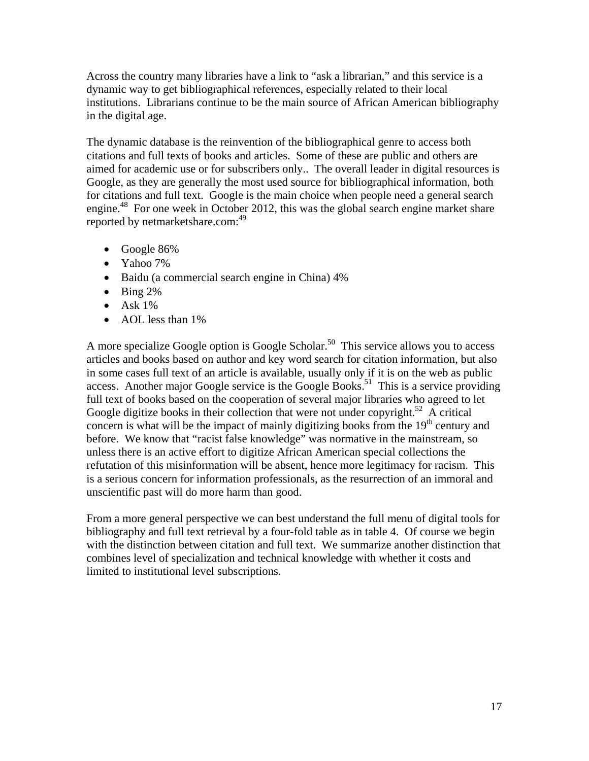Across the country many libraries have a link to "ask a librarian," and this service is a dynamic way to get bibliographical references, especially related to their local institutions. Librarians continue to be the main source of African American bibliography in the digital age.

The dynamic database is the reinvention of the bibliographical genre to access both citations and full texts of books and articles. Some of these are public and others are aimed for academic use or for subscribers only.. The overall leader in digital resources is Google, as they are generally the most used source for bibliographical information, both for citations and full text. Google is the main choice when people need a general search engine.<sup>48</sup> For one week in October 2012, this was the global search engine market share reported by netmarketshare.com:<sup>49</sup>

- Google 86%
- Yahoo 7%
- Baidu (a commercial search engine in China) 4%
- $\bullet$  Bing 2%
- $\bullet$  Ask 1%
- AOL less than 1%

A more specialize Google option is Google Scholar.<sup>50</sup> This service allows you to access articles and books based on author and key word search for citation information, but also in some cases full text of an article is available, usually only if it is on the web as public access. Another major Google service is the Google Books.<sup>51</sup> This is a service providing full text of books based on the cooperation of several major libraries who agreed to let Google digitize books in their collection that were not under copyright.<sup>52</sup> A critical concern is what will be the impact of mainly digitizing books from the  $19<sup>th</sup>$  century and before. We know that "racist false knowledge" was normative in the mainstream, so unless there is an active effort to digitize African American special collections the refutation of this misinformation will be absent, hence more legitimacy for racism. This is a serious concern for information professionals, as the resurrection of an immoral and unscientific past will do more harm than good.

From a more general perspective we can best understand the full menu of digital tools for bibliography and full text retrieval by a four-fold table as in table 4. Of course we begin with the distinction between citation and full text. We summarize another distinction that combines level of specialization and technical knowledge with whether it costs and limited to institutional level subscriptions.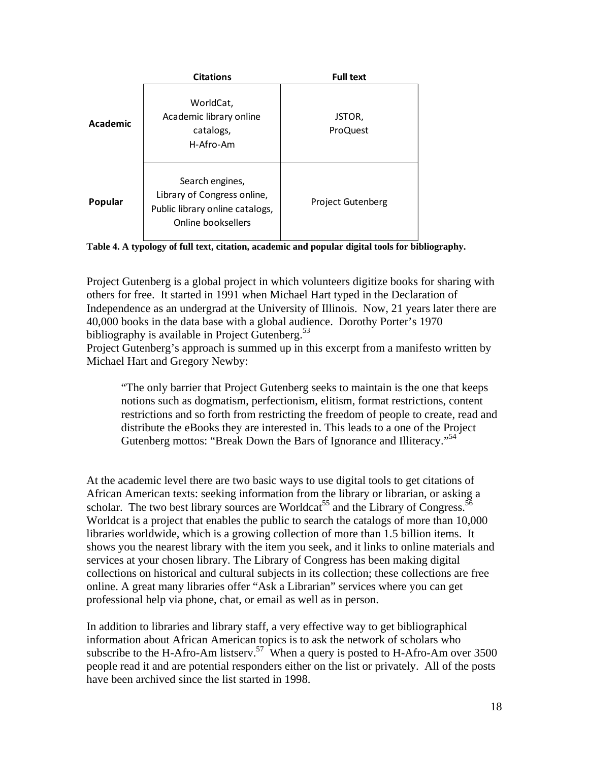|          | <b>Citations</b>                                                                                        | <b>Full text</b>          |
|----------|---------------------------------------------------------------------------------------------------------|---------------------------|
| Academic | WorldCat,<br>Academic library online<br>catalogs,<br>H-Afro-Am                                          | JSTOR,<br><b>ProQuest</b> |
| Popular  | Search engines,<br>Library of Congress online,<br>Public library online catalogs,<br>Online booksellers | <b>Project Gutenberg</b>  |



Project Gutenberg is a global project in which volunteers digitize books for sharing with others for free. It started in 1991 when Michael Hart typed in the Declaration of Independence as an undergrad at the University of Illinois. Now, 21 years later there are 40,000 books in the data base with a global audience. Dorothy Porter's 1970 bibliography is available in Project Gutenberg. $53$ 

Project Gutenberg's approach is summed up in this excerpt from a manifesto written by Michael Hart and Gregory Newby:

"The only barrier that Project Gutenberg seeks to maintain is the one that keeps notions such as dogmatism, perfectionism, elitism, format restrictions, content restrictions and so forth from restricting the freedom of people to create, read and distribute the eBooks they are interested in. This leads to a one of the Project Gutenberg mottos: "Break Down the Bars of Ignorance and Illiteracy."<sup>54</sup>

At the academic level there are two basic ways to use digital tools to get citations of African American texts: seeking information from the library or librarian, or asking a scholar. The two best library sources are Worldcat<sup>55</sup> and the Library of Congress.<sup>5</sup> Worldcat is a project that enables the public to search the catalogs of more than 10,000 libraries worldwide, which is a growing collection of more than 1.5 billion items. It shows you the nearest library with the item you seek, and it links to online materials and services at your chosen library. The Library of Congress has been making digital collections on historical and cultural subjects in its collection; these collections are free online. A great many libraries offer "Ask a Librarian" services where you can get professional help via phone, chat, or email as well as in person.

In addition to libraries and library staff, a very effective way to get bibliographical information about African American topics is to ask the network of scholars who subscribe to the H-Afro-Am listserv.<sup>57</sup> When a query is posted to H-Afro-Am over 3500 people read it and are potential responders either on the list or privately. All of the posts have been archived since the list started in 1998.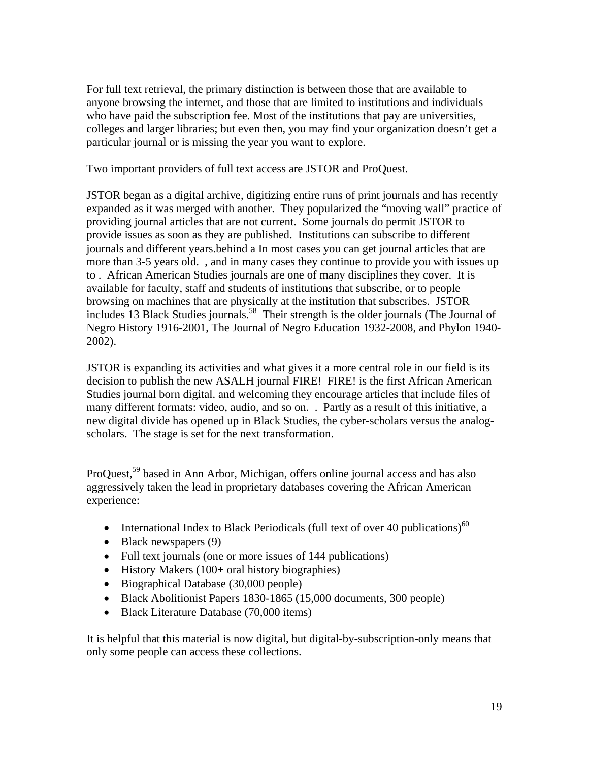For full text retrieval, the primary distinction is between those that are available to anyone browsing the internet, and those that are limited to institutions and individuals who have paid the subscription fee. Most of the institutions that pay are universities, colleges and larger libraries; but even then, you may find your organization doesn't get a particular journal or is missing the year you want to explore.

Two important providers of full text access are JSTOR and ProQuest.

JSTOR began as a digital archive, digitizing entire runs of print journals and has recently expanded as it was merged with another. They popularized the "moving wall" practice of providing journal articles that are not current. Some journals do permit JSTOR to provide issues as soon as they are published. Institutions can subscribe to different journals and different years.behind a In most cases you can get journal articles that are more than 3-5 years old. , and in many cases they continue to provide you with issues up to . African American Studies journals are one of many disciplines they cover. It is available for faculty, staff and students of institutions that subscribe, or to people browsing on machines that are physically at the institution that subscribes. JSTOR includes 13 Black Studies journals.58 Their strength is the older journals (The Journal of Negro History 1916-2001, The Journal of Negro Education 1932-2008, and Phylon 1940- 2002).

JSTOR is expanding its activities and what gives it a more central role in our field is its decision to publish the new ASALH journal FIRE! FIRE! is the first African American Studies journal born digital. and welcoming they encourage articles that include files of many different formats: video, audio, and so on. . Partly as a result of this initiative, a new digital divide has opened up in Black Studies, the cyber-scholars versus the analogscholars. The stage is set for the next transformation.

ProQuest,<sup>59</sup> based in Ann Arbor, Michigan, offers online journal access and has also aggressively taken the lead in proprietary databases covering the African American experience:

- International Index to Black Periodicals (full text of over 40 publications)<sup>60</sup>
- Black newspapers (9)
- Full text journals (one or more issues of 144 publications)
- History Makers (100+ oral history biographies)
- Biographical Database (30,000 people)
- Black Abolitionist Papers 1830-1865 (15,000 documents, 300 people)
- Black Literature Database (70,000 items)

It is helpful that this material is now digital, but digital-by-subscription-only means that only some people can access these collections.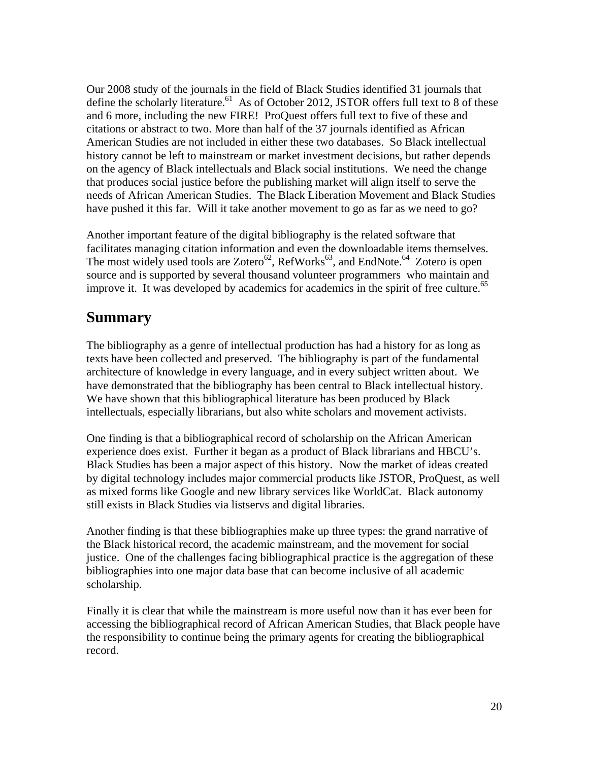Our 2008 study of the journals in the field of Black Studies identified 31 journals that define the scholarly literature.<sup>61</sup> As of October 2012, JSTOR offers full text to 8 of these and 6 more, including the new FIRE! ProQuest offers full text to five of these and citations or abstract to two. More than half of the 37 journals identified as African American Studies are not included in either these two databases. So Black intellectual history cannot be left to mainstream or market investment decisions, but rather depends on the agency of Black intellectuals and Black social institutions. We need the change that produces social justice before the publishing market will align itself to serve the needs of African American Studies. The Black Liberation Movement and Black Studies have pushed it this far. Will it take another movement to go as far as we need to go?

Another important feature of the digital bibliography is the related software that facilitates managing citation information and even the downloadable items themselves. The most widely used tools are Zotero<sup>62</sup>, RefWorks<sup>63</sup>, and EndNote.<sup>64</sup> Zotero is open source and is supported by several thousand volunteer programmers who maintain and improve it. It was developed by academics for academics in the spirit of free culture.<sup>65</sup>

#### **Summary**

The bibliography as a genre of intellectual production has had a history for as long as texts have been collected and preserved. The bibliography is part of the fundamental architecture of knowledge in every language, and in every subject written about. We have demonstrated that the bibliography has been central to Black intellectual history. We have shown that this bibliographical literature has been produced by Black intellectuals, especially librarians, but also white scholars and movement activists.

One finding is that a bibliographical record of scholarship on the African American experience does exist. Further it began as a product of Black librarians and HBCU's. Black Studies has been a major aspect of this history. Now the market of ideas created by digital technology includes major commercial products like JSTOR, ProQuest, as well as mixed forms like Google and new library services like WorldCat. Black autonomy still exists in Black Studies via listservs and digital libraries.

Another finding is that these bibliographies make up three types: the grand narrative of the Black historical record, the academic mainstream, and the movement for social justice. One of the challenges facing bibliographical practice is the aggregation of these bibliographies into one major data base that can become inclusive of all academic scholarship.

Finally it is clear that while the mainstream is more useful now than it has ever been for accessing the bibliographical record of African American Studies, that Black people have the responsibility to continue being the primary agents for creating the bibliographical record.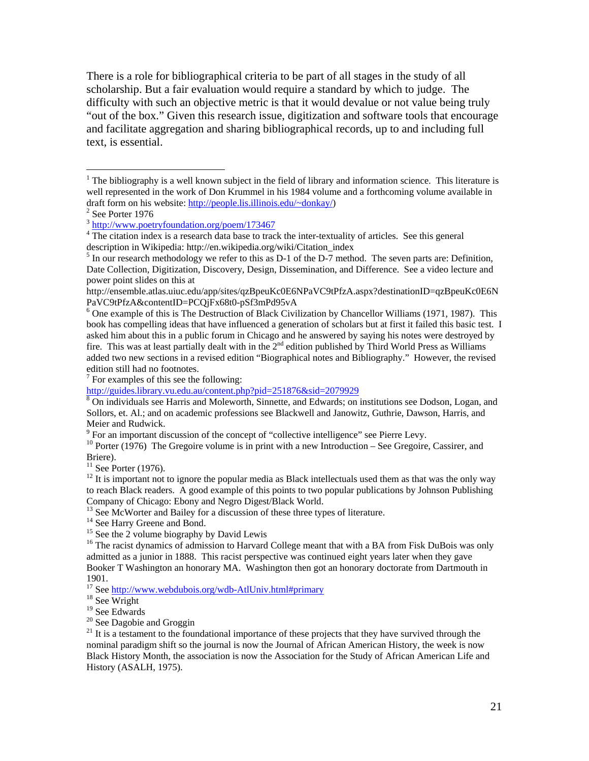There is a role for bibliographical criteria to be part of all stages in the study of all scholarship. But a fair evaluation would require a standard by which to judge. The difficulty with such an objective metric is that it would devalue or not value being truly "out of the box." Given this research issue, digitization and software tools that encourage and facilitate aggregation and sharing bibliographical records, up to and including full text, is essential.

1

 $7$  For examples of this see the following:

<sup>9</sup> For an important discussion of the concept of "collective intelligence" see Pierre Levy.

<sup>10</sup> Porter (1976) The Gregoire volume is in print with a new Introduction – See Gregoire, Cassirer, and Briere).

 $11$  See Porter (1976).

 $12$  It is important not to ignore the popular media as Black intellectuals used them as that was the only way to reach Black readers. A good example of this points to two popular publications by Johnson Publishing Company of Chicago: Ebony and Negro Digest/Black World.

<sup>13</sup> See McWorter and Bailey for a discussion of these three types of literature.<br><sup>14</sup> See Harry Greene and Bond.

 $15$  See the 2 volume biography by David Lewis

<sup>16</sup> The racist dynamics of admission to Harvard College meant that with a BA from Fisk DuBois was only admitted as a junior in 1888. This racist perspective was continued eight years later when they gave Booker T Washington an honorary MA. Washington then got an honorary doctorate from Dartmouth in 1901.

<sup>17</sup> See http://www.webdubois.org/wdb-AtlUniv.html#primary <sup>18</sup> See Wright

19 See Edwards

 $20$  See Dagobie and Groggin

 $21$  It is a testament to the foundational importance of these projects that they have survived through the nominal paradigm shift so the journal is now the Journal of African American History, the week is now Black History Month, the association is now the Association for the Study of African American Life and History (ASALH, 1975).

 $<sup>1</sup>$  The bibliography is a well known subject in the field of library and information science. This literature is</sup> well represented in the work of Don Krummel in his 1984 volume and a forthcoming volume available in draft form on his website: http://people.lis.illinois.edu/~donkay/) 2

 $2$  See Porter 1976

<sup>3</sup> http://www.poetryfoundation.org/poem/173467 4

<sup>&</sup>lt;sup>4</sup> The citation index is a research data base to track the inter-textuality of articles. See this general description in Wikipedia: http://en.wikipedia.org/wiki/Citation\_index 5

 $<sup>5</sup>$  In our research methodology we refer to this as D-1 of the D-7 method. The seven parts are: Definition,</sup> Date Collection, Digitization, Discovery, Design, Dissemination, and Difference. See a video lecture and power point slides on this at

http://ensemble.atlas.uiuc.edu/app/sites/qzBpeuKc0E6NPaVC9tPfzA.aspx?destinationID=qzBpeuKc0E6N PaVC9tPfzA&contentID=PCQjFx68t0-pSf3mPd95vA

<sup>&</sup>lt;sup>6</sup> One example of this is The Destruction of Black Civilization by Chancellor Williams (1971, 1987). This book has compelling ideas that have influenced a generation of scholars but at first it failed this basic test. I asked him about this in a public forum in Chicago and he answered by saying his notes were destroyed by fire. This was at least partially dealt with in the 2<sup>nd</sup> edition published by Third World Press as Williams added two new sections in a revised edition "Biographical notes and Bibliography." However, the revised edition still had no footnotes.

http://guides.library.vu.edu.au/content.php?pid=251876&sid=2079929<br><sup>8</sup> On individuals see Harris and Moleworth, Sinnette, and Edwards; on institutions see Dodson, Logan, and Sollors, et. Al.; and on academic professions see Blackwell and Janowitz, Guthrie, Dawson, Harris, and Meier and Rudwick.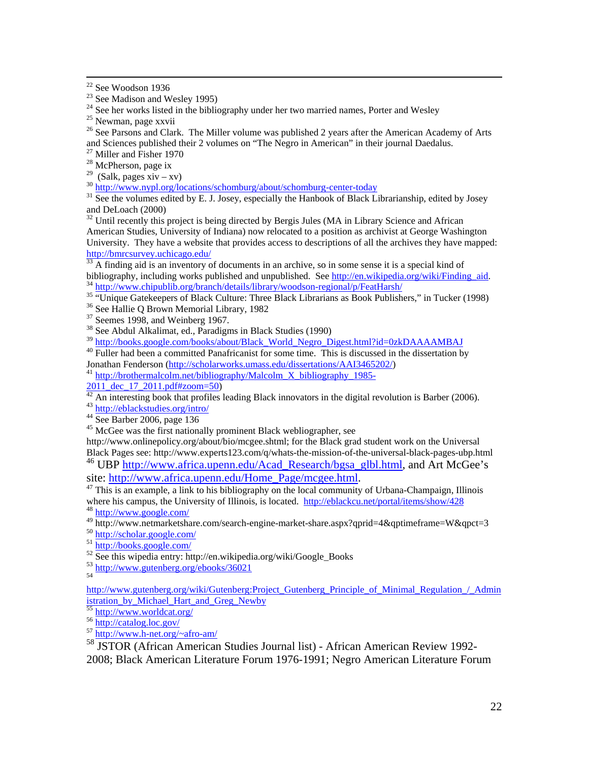22 See Woodson 1936

 $24$  See her works listed in the bibliography under her two married names, Porter and Wesley

<sup>26</sup> See Parsons and Clark. The Miller volume was published 2 years after the American Academy of Arts and Sciences published their 2 volumes on "The Negro in American" in their journal Daedalus.

<sup>27</sup> Miller and Fisher 1970

<sup>28</sup> McPherson, page ix

<sup>29</sup> (Salk, pages xiv – xv)

 $\frac{30 \text{ http://www.nypl.org/locations/schomburg/about/schomburg-center-today}}{31 \text{ See the volumes edited by E. J. Josephsonburg/about/schomburg-center-today}}$ and DeLoach (2000)

<sup>32</sup> Until recently this project is being directed by Bergis Jules (MA in Library Science and African American Studies, University of Indiana) now relocated to a position as archivist at George Washington University. They have a website that provides access to descriptions of all the archives they have mapped:

http://bmrcsurvey.uchicago.edu/<br><sup>33</sup> A finding aid is an inventory of documents in an archive, so in some sense it is a special kind of<br>bibliography, including works published and unpublished. See http://en.wikipedia.org/w <sup>34</sup> http://www.chipublib.org/branch/details/library/woodson-regional/p/FeatHarsh/<br><sup>35</sup> "Unique Gatekeepers of Black Culture: Three Black Librarians as Book Publishers," in Tucker (1998)<br><sup>36</sup> See Hallie O Brown Memorial Li

 $37$  Seemes 1998, and Weinberg 1967.

 $38$  See Abdul Alkalimat, ed., Paradigms in Black Studies (1990)

<sup>39</sup> http://books.google.com/books/about/Black\_World\_Negro\_Digest.html?id=0zkDAAAAMBAJ<br><sup>40</sup> Fuller had been a committed Panafricanist for some time. This is discussed in the dissertation by<br>Jonathan Fenderson (http://schol

<sup>41</sup> http://brothermalcolm.net/bibliography/Malcolm X bibliography 1985-

 $\frac{2011 \text{ dec}}{42 \text{ An interesting book that profiles leading Black innovations in the digital revolution is Barber (2006).}$ <br>
<sup>43</sup> http://eblackstudies.org/intro/<br>
<sup>44</sup> See Barber 2006, page 136

<sup>45</sup> McGee was the first nationally prominent Black webliographer, see

http://www.onlinepolicy.org/about/bio/mcgee.shtml; for the Black grad student work on the Universal Black Pages see: http://www.experts123.com/q/whats-the-mission-of-the-universal-black-pages-ubp.html <sup>46</sup> UBP http://www.africa.upenn.edu/Acad\_Research/bgsa\_glbl.html, and Art McGee's site: http://www.africa.upenn.edu/Home\_Page/mcgee.html.

This is an example, a link to his bibliography on the local community of Urbana-Champaign, Illinois where his campus, the University of Illinois, is located. http://eblackcu.net/portal/items/show/428 48 http://www.google.com/

49 http://www.netmarketshare.com/search-engine-market-share.aspx?qprid=4&qptimeframe=W&qpct=3<br>50 http://scholar.google.com/<br>51 http://books.google.com/<br>52 See this wipedia entry: http://en.wikipedia.org/wiki/Google\_Books

53 http://www.gutenberg.org/ebooks/36021

http://www.gutenberg.org/wiki/Gutenberg:Project\_Gutenberg\_Principle\_of\_Minimal\_Regulation\_/\_Admin istration\_by\_Michael\_Hart\_and\_Greg\_Newby

 $\frac{1}{55}$  http://www.worldcat.org/<br>56 http://catalog.loc.gov/<br>57 http://www.h-net.org/~afro-am/

58 JSTOR (African American Studies Journal list) - African American Review 1992- 2008; Black American Literature Forum 1976-1991; Negro American Literature Forum

 $23$  See Madison and Wesley 1995)

<sup>&</sup>lt;sup>25</sup> Newman, page xxvii